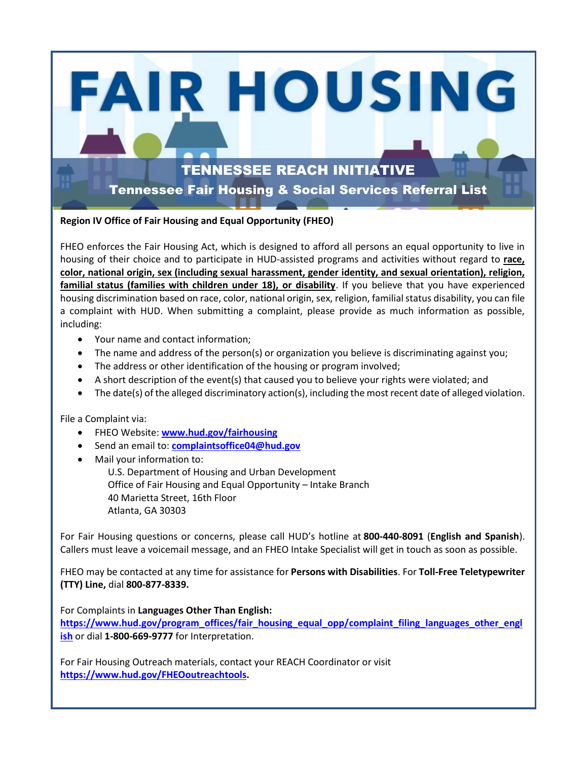### TENNESSEE REACH INITIATIVE

**FAIR HOUSING** 

Tennessee Fair Housing & Social Services Referral List

#### **Region IV Office of Fair Housing and Equal Opportunity (FHEO)**

FHEO enforces the Fair Housing Act, which is designed to afford all persons an equal opportunity to live in housing of their choice and to participate in HUD-assisted programs and activities without regard to **race, color, national origin, sex (including sexual harassment, gender identity, and sexual orientation), religion, familial status (families with children under 18), or disability**. If you believe that you have experienced housing discrimination based on race, color, national origin, sex, religion, familial status disability, you can file a complaint with HUD. When submitting a complaint, please provide as much information as possible, including:

- Your name and contact information;
- The name and address of the person(s) or organization you believe is discriminating against you;
- The address or other identification of the housing or program involved;
- A short description of the event(s) that caused you to believe your rights were violated; and
- The date(s) of the alleged discriminatory action(s), including the most recent date of alleged violation.

File a Complaint via:

- FHEO Website: **[www.hud.gov/fairhousing](http://www.hud.gov/fairhousing)**
- Send an email to: **[complaintsoffice04@hud.gov](mailto:complaintsoffice04@hud.gov)**
- Mail your information to:

U.S. Department of Housing and Urban Development Office of Fair Housing and Equal Opportunity – Intake Branch 40 Marietta Street, 16th Floor Atlanta, GA 30303

For Fair Housing questions or concerns, please call HUD's hotline at **800-440-8091** (**English and Spanish**). Callers must leave a voicemail message, and an FHEO Intake Specialist will get in touch as soon as possible.

FHEO may be contacted at any time for assistance for **Persons with Disabilities**. For **Toll-Free Teletypewriter (TTY) Line,** dial **800-877-8339.**

For Complaints in **Languages Other Than English: [https://www.hud.gov/program\\_offices/fair\\_housing\\_equal\\_opp/complaint\\_filing\\_languages\\_other\\_engl](https://www.hud.gov/program_offices/fair_housing_equal_opp/complaint_filing_languages_other_english) [ish](https://www.hud.gov/program_offices/fair_housing_equal_opp/complaint_filing_languages_other_english)** or dial **1-800-669-9777** for Interpretation.

For Fair Housing Outreach materials, contact your REACH Coordinator or visit **[https://www.hud.gov/FHEOoutreachtools.](https://www.hud.gov/FHEOoutreachtools)**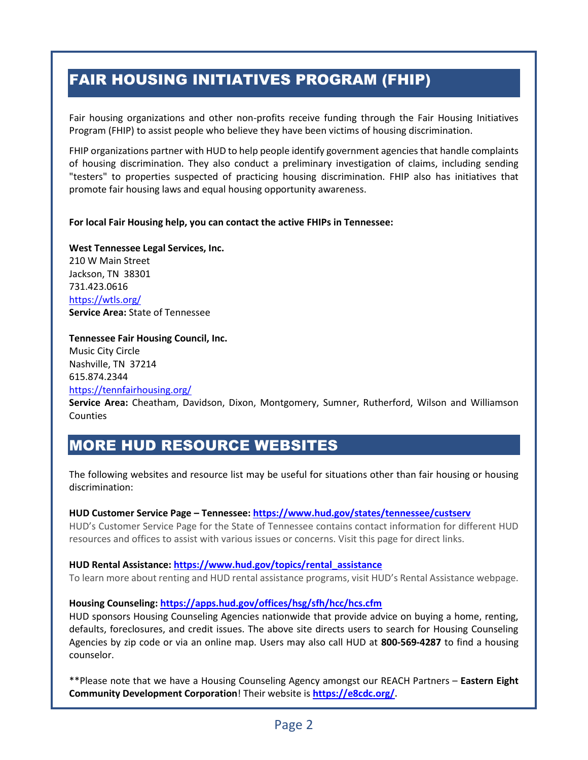## FAIR HOUSING INITIATIVES PROGRAM (FHIP)

Fair housing organizations and other non-profits receive funding through the Fair Housing Initiatives Program (FHIP) to assist people who believe they have been victims of housing discrimination.

FHIP organizations partner with HUD to help people identify government agencies that handle complaints of housing discrimination. They also conduct a preliminary investigation of claims, including sending "testers" to properties suspected of practicing housing discrimination. FHIP also has initiatives that promote fair housing laws and equal housing opportunity awareness.

#### **For local Fair Housing help, you can contact the active FHIPs in Tennessee:**

**West Tennessee Legal Services, Inc.**  210 W Main Street Jackson, TN 38301 731.423.0616 <https://wtls.org/> **Service Area:** State of Tennessee

#### **Tennessee Fair Housing Council, Inc.**

Music City Circle Nashville, TN 37214 615.874.2344 <https://tennfairhousing.org/>

**Service Area:** Cheatham, Davidson, Dixon, Montgomery, Sumner, Rutherford, Wilson and Williamson Counties

### MORE HUD RESOURCE WEBSITES

The following websites and resource list may be useful for situations other than fair housing or housing discrimination:

#### **HUD Customer Service Page – Tennessee: <https://www.hud.gov/states/tennessee/custserv>**

HUD's Customer Service Page for the State of Tennessee contains contact information for different HUD resources and offices to assist with various issues or concerns. Visit this page for direct links.

#### **HUD Rental Assistance: [https://www.hud.gov/topics/rental\\_assistance](https://www.hud.gov/topics/rental_assistance)**

To learn more about renting and HUD rental assistance programs, visit HUD's Rental Assistance webpage.

#### **Housing Counseling:<https://apps.hud.gov/offices/hsg/sfh/hcc/hcs.cfm>**

HUD sponsors Housing Counseling Agencies nationwide that provide advice on buying a home, renting, defaults, foreclosures, and credit issues. The above site directs users to search for Housing Counseling Agencies by zip code or via an online map. Users may also call HUD at **800-569-4287** to find a housing counselor.

\*\*Please note that we have a Housing Counseling Agency amongst our REACH Partners – **Eastern Eight Community Development Corporation**! Their website is **[https://e8cdc.org/.](https://e8cdc.org/)**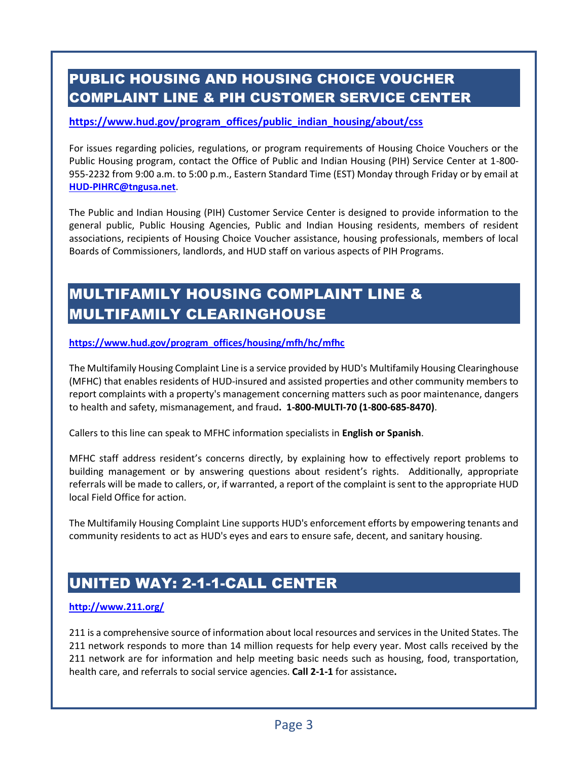## PUBLIC HOUSING AND HOUSING CHOICE VOUCHER COMPLAINT LINE & PIH CUSTOMER SERVICE CENTER

#### **[https://www.hud.gov/program\\_offices/public\\_indian\\_housing/about/css](https://www.hud.gov/program_offices/public_indian_housing/about/css)**

For issues regarding policies, regulations, or program requirements of Housing Choice Vouchers or the Public Housing program, contact the Office of Public and Indian Housing (PIH) Service Center at 1-800- 955-2232 from 9:00 a.m. to 5:00 p.m., Eastern Standard Time (EST) Monday through Friday or by email at **[HUD-PIHRC@tngusa.net](mailto:HUD-PIHRC@tngusa.net)**.

The Public and Indian Housing (PIH) Customer Service Center is designed to provide information to the general public, Public Housing Agencies, Public and Indian Housing residents, members of resident associations, recipients of Housing Choice Voucher assistance, housing professionals, members of local Boards of Commissioners, landlords, and HUD staff on various aspects of PIH Programs.

### MULTIFAMILY HOUSING COMPLAINT LINE & MULTIFAMILY CLEARINGHOUSE

#### **[https://www.hud.gov/program\\_offices/housing/mfh/hc/mfhc](https://www.hud.gov/program_offices/housing/mfh/hc/mfhc)**

The Multifamily Housing Complaint Line is a service provided by HUD's Multifamily Housing Clearinghouse (MFHC) that enables residents of HUD-insured and assisted properties and other community members to report complaints with a property's management concerning matters such as poor maintenance, dangers to health and safety, mismanagement, and fraud**. 1-800-MULTI-70 (1-800-685-8470)**.

Callers to this line can speak to MFHC information specialists in **English or Spanish**.

MFHC staff address resident's concerns directly, by explaining how to effectively report problems to building management or by answering questions about resident's rights. Additionally, appropriate referrals will be made to callers, or, if warranted, a report of the complaint is sent to the appropriate HUD local Field Office for action.

The Multifamily Housing Complaint Line supports HUD's enforcement efforts by empowering tenants and community residents to act as HUD's eyes and ears to ensure safe, decent, and sanitary housing.

### UNITED WAY: 2-1-1-CALL CENTER

#### **<http://www.211.org/>**

211 is a comprehensive source of information about local resources and services in the United States. The 211 network responds to more than 14 million requests for help every year. Most calls received by the 211 network are for information and help meeting basic needs such as housing, food, transportation, health care, and referrals to social service agencies. **Call 2-1-1** for assistance**.**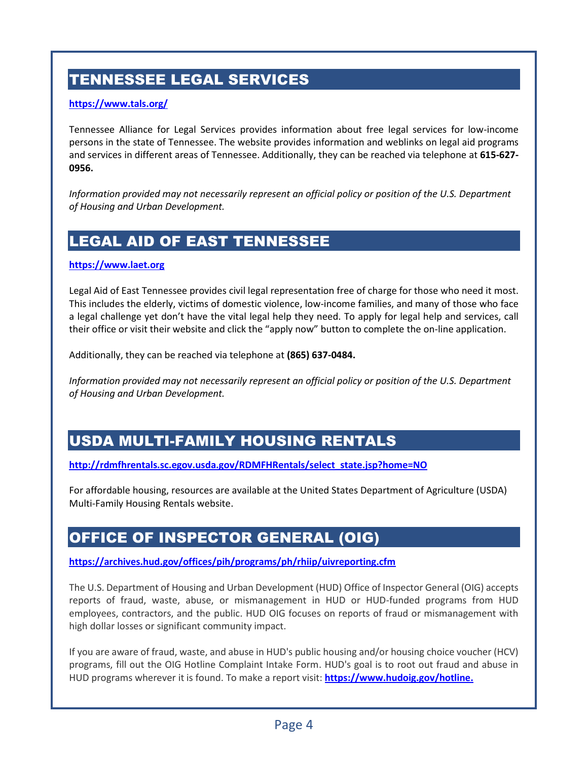# TENNESSEE LEGAL SERVICES

#### **<https://www.tals.org/>**

Tennessee Alliance for Legal Services provides information about free legal services for low-income persons in the state of Tennessee. The website provides information and weblinks on legal aid programs and services in different areas of Tennessee. Additionally, they can be reached via telephone at **615-627- 0956.**

*Information provided may not necessarily represent an official policy or position of the U.S. Department of Housing and Urban Development.*

### LEGAL AID OF EAST TENNESSEE

#### **[https://www.laet.org](https://www.laet.org/)**

Legal Aid of East Tennessee provides civil legal representation free of charge for those who need it most. This includes the elderly, victims of domestic violence, low-income families, and many of those who face a legal challenge yet don't have the vital legal help they need. To apply for legal help and services, call their office or visit their website and click the "apply now" button to complete the on-line application.

Additionally, they can be reached via telephone at **(865) 637-0484.**

*Information provided may not necessarily represent an official policy or position of the U.S. Department of Housing and Urban Development.*

### USDA MULTI-FAMILY HOUSING RENTALS

**[http://rdmfhrentals.sc.egov.usda.gov/RDMFHRentals/select\\_state.jsp?home=NO](http://rdmfhrentals.sc.egov.usda.gov/RDMFHRentals/select_state.jsp?home=NO)**

For affordable housing, resources are available at the United States Department of Agriculture (USDA) Multi-Family Housing Rentals website.

### OFFICE OF INSPECTOR GENERAL (OIG)

**<https://archives.hud.gov/offices/pih/programs/ph/rhiip/uivreporting.cfm>**

The U.S. Department of Housing and Urban Development (HUD) Office of Inspector General (OIG) accepts reports of fraud, waste, abuse, or mismanagement in HUD or HUD-funded programs from HUD employees, contractors, and the public. HUD OIG focuses on reports of fraud or mismanagement with high dollar losses or significant community impact.

If you are aware of fraud, waste, and abuse in HUD's public housing and/or housing choice voucher (HCV) programs, fill out the OIG Hotline Complaint Intake Form. HUD's goal is to root out fraud and abuse in HUD programs wherever it is found. To make a report visit: **[https://www.hudoig.gov/hotline.](https://www.hudoig.gov/hotline)**